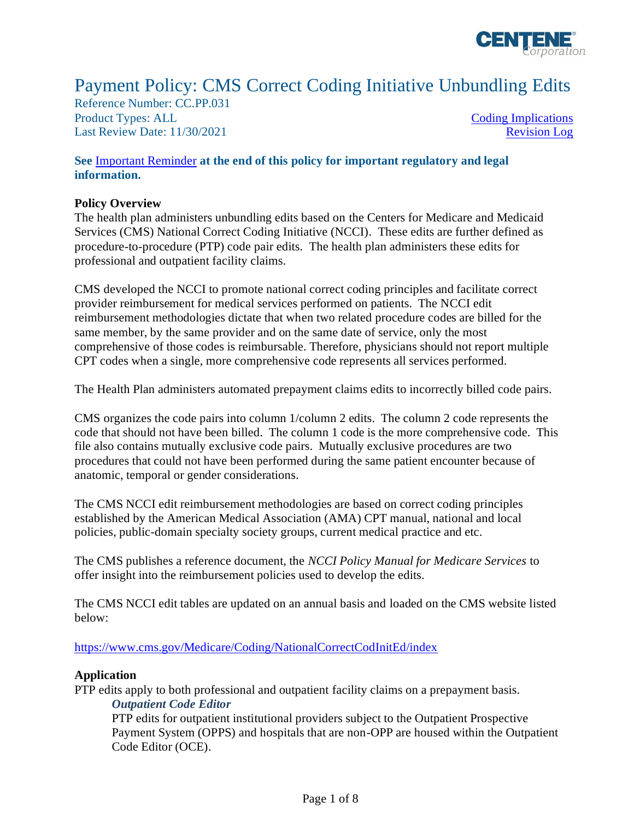

# Payment Policy: CMS Correct Coding Initiative Unbundling Edits

Reference Number: CC.PP.031 Product Types: ALL [Coding Implications](#page-2-0) Last Review Date: 11/30/2021 [Revision Log](#page-6-0)

### **See** [Important Reminder](#page-6-1) **at the end of this policy for important regulatory and legal information.**

### **Policy Overview**

The health plan administers unbundling edits based on the Centers for Medicare and Medicaid Services (CMS) National Correct Coding Initiative (NCCI). These edits are further defined as procedure-to-procedure (PTP) code pair edits. The health plan administers these edits for professional and outpatient facility claims.

CMS developed the NCCI to promote national correct coding principles and facilitate correct provider reimbursement for medical services performed on patients. The NCCI edit reimbursement methodologies dictate that when two related procedure codes are billed for the same member, by the same provider and on the same date of service, only the most comprehensive of those codes is reimbursable. Therefore, physicians should not report multiple CPT codes when a single, more comprehensive code represents all services performed.

The Health Plan administers automated prepayment claims edits to incorrectly billed code pairs.

CMS organizes the code pairs into column 1/column 2 edits. The column 2 code represents the code that should not have been billed. The column 1 code is the more comprehensive code. This file also contains mutually exclusive code pairs. Mutually exclusive procedures are two procedures that could not have been performed during the same patient encounter because of anatomic, temporal or gender considerations.

The CMS NCCI edit reimbursement methodologies are based on correct coding principles established by the American Medical Association (AMA) CPT manual, national and local policies, public-domain specialty society groups, current medical practice and etc.

The CMS publishes a reference document, the *NCCI Policy Manual for Medicare Services* to offer insight into the reimbursement policies used to develop the edits.

The CMS NCCI edit tables are updated on an annual basis and loaded on the CMS website listed below:

<https://www.cms.gov/Medicare/Coding/NationalCorrectCodInitEd/index>

### **Application**

PTP edits apply to both professional and outpatient facility claims on a prepayment basis. *Outpatient Code Editor*

PTP edits for outpatient institutional providers subject to the Outpatient Prospective Payment System (OPPS) and hospitals that are non-OPP are housed within the Outpatient Code Editor (OCE).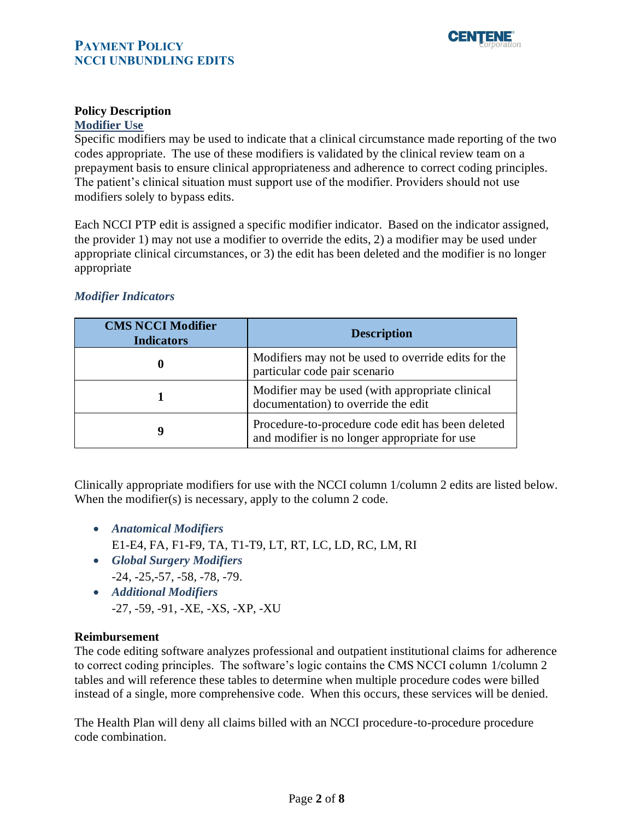

# **Policy Description**

# **Modifier Use**

Specific modifiers may be used to indicate that a clinical circumstance made reporting of the two codes appropriate. The use of these modifiers is validated by the clinical review team on a prepayment basis to ensure clinical appropriateness and adherence to correct coding principles. The patient's clinical situation must support use of the modifier. Providers should not use modifiers solely to bypass edits.

Each NCCI PTP edit is assigned a specific modifier indicator. Based on the indicator assigned, the provider 1) may not use a modifier to override the edits, 2) a modifier may be used under appropriate clinical circumstances, or 3) the edit has been deleted and the modifier is no longer appropriate

| <b>CMS NCCI Modifier</b><br><b>Indicators</b> | <b>Description</b>                                                                                 |
|-----------------------------------------------|----------------------------------------------------------------------------------------------------|
|                                               | Modifiers may not be used to override edits for the<br>particular code pair scenario               |
|                                               | Modifier may be used (with appropriate clinical<br>documentation) to override the edit             |
| 9                                             | Procedure-to-procedure code edit has been deleted<br>and modifier is no longer appropriate for use |

### *Modifier Indicators*

Clinically appropriate modifiers for use with the NCCI column 1/column 2 edits are listed below. When the modifier(s) is necessary, apply to the column 2 code.

- *Anatomical Modifiers*
	- E1-E4, FA, F1-F9, TA, T1-T9, LT, RT, LC, LD, RC, LM, RI
- *Global Surgery Modifiers* -24, -25,-57, -58, -78, -79.
- *Additional Modifiers* -27, -59, -91, -XE, -XS, -XP, -XU

## **Reimbursement**

The code editing software analyzes professional and outpatient institutional claims for adherence to correct coding principles. The software's logic contains the CMS NCCI column 1/column 2 tables and will reference these tables to determine when multiple procedure codes were billed instead of a single, more comprehensive code. When this occurs, these services will be denied.

The Health Plan will deny all claims billed with an NCCI procedure-to-procedure procedure code combination.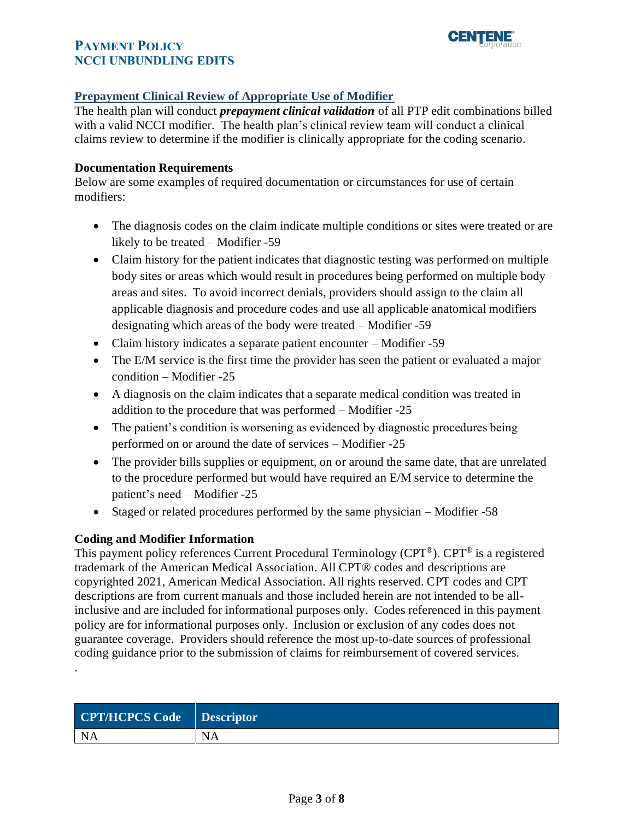

## **Prepayment Clinical Review of Appropriate Use of Modifier**

The health plan will conduct *prepayment clinical validation* of all PTP edit combinations billed with a valid NCCI modifier. The health plan's clinical review team will conduct a clinical claims review to determine if the modifier is clinically appropriate for the coding scenario.

## **Documentation Requirements**

Below are some examples of required documentation or circumstances for use of certain modifiers:

- The diagnosis codes on the claim indicate multiple conditions or sites were treated or are likely to be treated – Modifier -59
- Claim history for the patient indicates that diagnostic testing was performed on multiple body sites or areas which would result in procedures being performed on multiple body areas and sites. To avoid incorrect denials, providers should assign to the claim all applicable diagnosis and procedure codes and use all applicable anatomical modifiers designating which areas of the body were treated – Modifier -59
- Claim history indicates a separate patient encounter Modifier -59
- The E/M service is the first time the provider has seen the patient or evaluated a major condition – Modifier -25
- A diagnosis on the claim indicates that a separate medical condition was treated in addition to the procedure that was performed – Modifier -25
- The patient's condition is worsening as evidenced by diagnostic procedures being performed on or around the date of services – Modifier -25
- The provider bills supplies or equipment, on or around the same date, that are unrelated to the procedure performed but would have required an E/M service to determine the patient's need – Modifier -25
- Staged or related procedures performed by the same physician Modifier -58

## <span id="page-2-0"></span>**Coding and Modifier Information**

.

This payment policy references Current Procedural Terminology (CPT®). CPT® is a registered trademark of the American Medical Association. All CPT® codes and descriptions are copyrighted 2021, American Medical Association. All rights reserved. CPT codes and CPT descriptions are from current manuals and those included herein are not intended to be allinclusive and are included for informational purposes only. Codes referenced in this payment policy are for informational purposes only. Inclusion or exclusion of any codes does not guarantee coverage. Providers should reference the most up-to-date sources of professional coding guidance prior to the submission of claims for reimbursement of covered services.

| CPT/HCPCS Code Descriptor |           |
|---------------------------|-----------|
| <b>NA</b>                 | <b>NA</b> |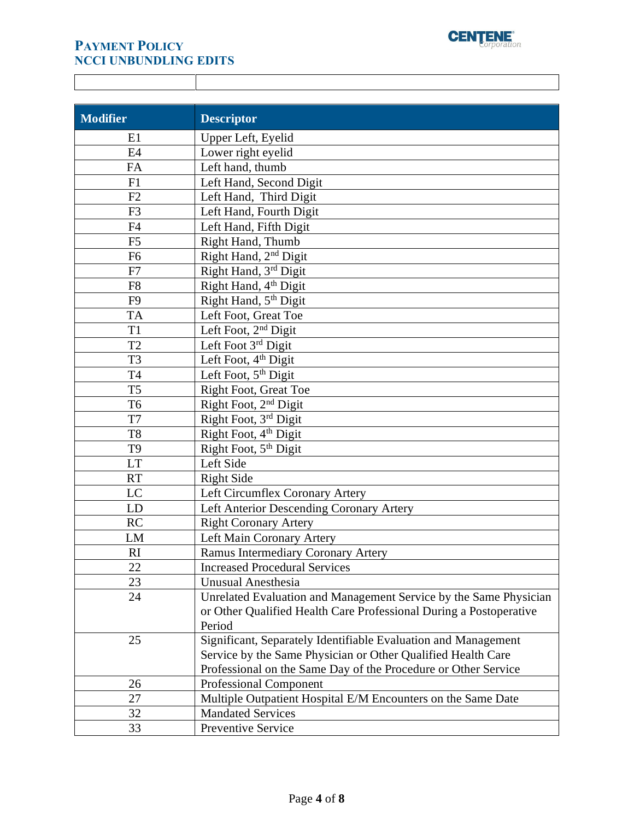

| <b>Modifier</b> | <b>Descriptor</b>                                                  |
|-----------------|--------------------------------------------------------------------|
| E1              | Upper Left, Eyelid                                                 |
| E4              | Lower right eyelid                                                 |
| FA              | Left hand, thumb                                                   |
| F1              | Left Hand, Second Digit                                            |
| F2              | Left Hand, Third Digit                                             |
| F <sub>3</sub>  | Left Hand, Fourth Digit                                            |
| F <sub>4</sub>  | Left Hand, Fifth Digit                                             |
| F <sub>5</sub>  | Right Hand, Thumb                                                  |
| F <sub>6</sub>  | Right Hand, 2 <sup>nd</sup> Digit                                  |
| F7              | Right Hand, 3rd Digit                                              |
| F <sub>8</sub>  | Right Hand, 4th Digit                                              |
| F <sub>9</sub>  | Right Hand, 5 <sup>th</sup> Digit                                  |
| <b>TA</b>       | Left Foot, Great Toe                                               |
| T1              | Left Foot, 2 <sup>nd</sup> Digit                                   |
| T <sub>2</sub>  | Left Foot 3rd Digit                                                |
| T <sub>3</sub>  | Left Foot, 4 <sup>th</sup> Digit                                   |
| <b>T4</b>       | Left Foot, 5 <sup>th</sup> Digit                                   |
| T <sub>5</sub>  | <b>Right Foot, Great Toe</b>                                       |
| T <sub>6</sub>  | Right Foot, 2 <sup>nd</sup> Digit                                  |
| T7              | Right Foot, 3rd Digit                                              |
| T <sub>8</sub>  | Right Foot, 4 <sup>th</sup> Digit                                  |
| T <sub>9</sub>  | Right Foot, 5 <sup>th</sup> Digit                                  |
| <b>LT</b>       | Left Side                                                          |
| <b>RT</b>       | <b>Right Side</b>                                                  |
| <b>LC</b>       | Left Circumflex Coronary Artery                                    |
| LD              | Left Anterior Descending Coronary Artery                           |
| <b>RC</b>       | <b>Right Coronary Artery</b>                                       |
| LM              | Left Main Coronary Artery                                          |
| RI.             | Ramus Intermediary Coronary Artery                                 |
| 22              | <b>Increased Procedural Services</b>                               |
| 23              | <b>Unusual Anesthesia</b>                                          |
| 24              | Unrelated Evaluation and Management Service by the Same Physician  |
|                 | or Other Qualified Health Care Professional During a Postoperative |
|                 | Period                                                             |
| 25              | Significant, Separately Identifiable Evaluation and Management     |
|                 | Service by the Same Physician or Other Qualified Health Care       |
|                 | Professional on the Same Day of the Procedure or Other Service     |
| 26              | <b>Professional Component</b>                                      |
| 27              | Multiple Outpatient Hospital E/M Encounters on the Same Date       |
| 32              | <b>Mandated Services</b>                                           |
| 33              | Preventive Service                                                 |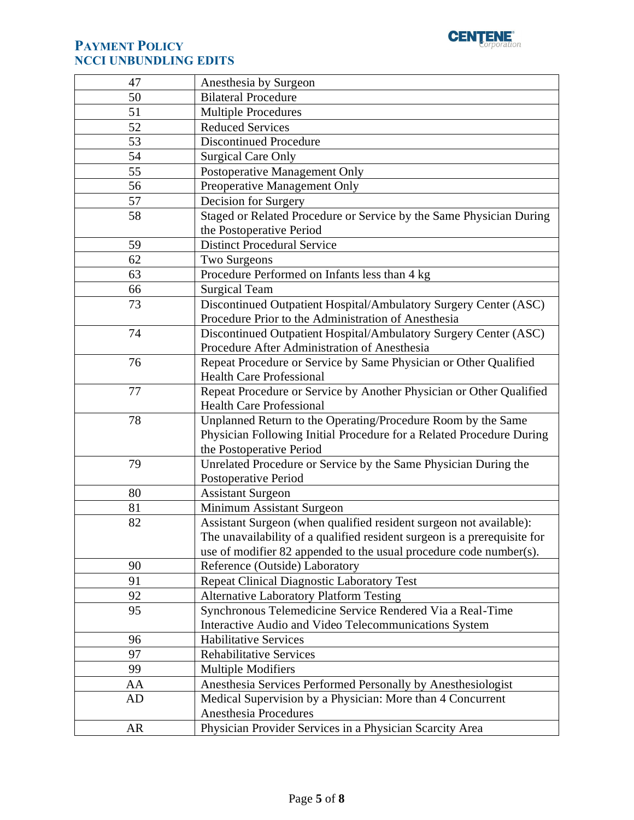

| 47        | Anesthesia by Surgeon                                                    |
|-----------|--------------------------------------------------------------------------|
| 50        | <b>Bilateral Procedure</b>                                               |
| 51        | <b>Multiple Procedures</b>                                               |
| 52        | <b>Reduced Services</b>                                                  |
| 53        | <b>Discontinued Procedure</b>                                            |
| 54        | <b>Surgical Care Only</b>                                                |
| 55        | Postoperative Management Only                                            |
| 56        | Preoperative Management Only                                             |
| 57        | Decision for Surgery                                                     |
| 58        | Staged or Related Procedure or Service by the Same Physician During      |
|           | the Postoperative Period                                                 |
| 59        | <b>Distinct Procedural Service</b>                                       |
| 62        | Two Surgeons                                                             |
| 63        | Procedure Performed on Infants less than 4 kg                            |
| 66        | <b>Surgical Team</b>                                                     |
| 73        | Discontinued Outpatient Hospital/Ambulatory Surgery Center (ASC)         |
|           | Procedure Prior to the Administration of Anesthesia                      |
| 74        | Discontinued Outpatient Hospital/Ambulatory Surgery Center (ASC)         |
|           | Procedure After Administration of Anesthesia                             |
| 76        | Repeat Procedure or Service by Same Physician or Other Qualified         |
|           | <b>Health Care Professional</b>                                          |
| 77        | Repeat Procedure or Service by Another Physician or Other Qualified      |
|           | <b>Health Care Professional</b>                                          |
| 78        | Unplanned Return to the Operating/Procedure Room by the Same             |
|           | Physician Following Initial Procedure for a Related Procedure During     |
|           | the Postoperative Period                                                 |
| 79        | Unrelated Procedure or Service by the Same Physician During the          |
|           | Postoperative Period                                                     |
| 80        | <b>Assistant Surgeon</b>                                                 |
| 81        | Minimum Assistant Surgeon                                                |
| 82        | Assistant Surgeon (when qualified resident surgeon not available):       |
|           | The unavailability of a qualified resident surgeon is a prerequisite for |
|           | use of modifier 82 appended to the usual procedure code number(s).       |
| 90        | Reference (Outside) Laboratory                                           |
| 91        | <b>Repeat Clinical Diagnostic Laboratory Test</b>                        |
| 92        | <b>Alternative Laboratory Platform Testing</b>                           |
| 95        | Synchronous Telemedicine Service Rendered Via a Real-Time                |
|           | Interactive Audio and Video Telecommunications System                    |
| 96        | <b>Habilitative Services</b>                                             |
| 97        | <b>Rehabilitative Services</b>                                           |
| 99        | <b>Multiple Modifiers</b>                                                |
| AA        | Anesthesia Services Performed Personally by Anesthesiologist             |
| AD        | Medical Supervision by a Physician: More than 4 Concurrent               |
|           | Anesthesia Procedures                                                    |
| <b>AR</b> | Physician Provider Services in a Physician Scarcity Area                 |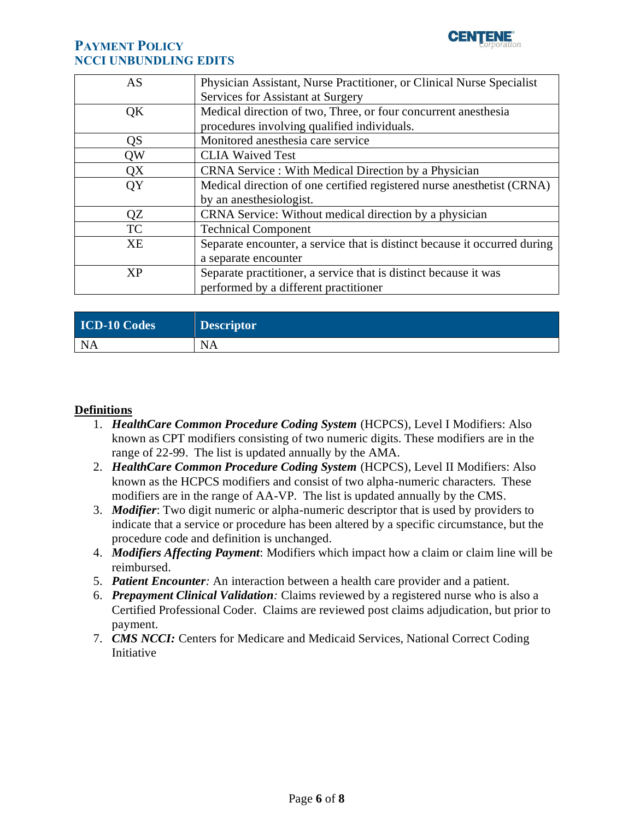

| AS        | Physician Assistant, Nurse Practitioner, or Clinical Nurse Specialist     |
|-----------|---------------------------------------------------------------------------|
|           | Services for Assistant at Surgery                                         |
| QK        | Medical direction of two, Three, or four concurrent anesthesia            |
|           | procedures involving qualified individuals.                               |
| QS        | Monitored anesthesia care service                                         |
| QW        | <b>CLIA Waived Test</b>                                                   |
| QX        | CRNA Service : With Medical Direction by a Physician                      |
| QY        | Medical direction of one certified registered nurse anesthetist (CRNA)    |
|           | by an anesthesiologist.                                                   |
| QZ        | CRNA Service: Without medical direction by a physician                    |
| <b>TC</b> | <b>Technical Component</b>                                                |
| <b>XE</b> | Separate encounter, a service that is distinct because it occurred during |
|           | a separate encounter                                                      |
| <b>XP</b> | Separate practitioner, a service that is distinct because it was          |
|           | performed by a different practitioner                                     |

| <b>ICD-10 Codes</b> | <b>Descriptor</b> |
|---------------------|-------------------|
| <b>NA</b>           | <b>NA</b>         |

## **Definitions**

- 1. *HealthCare Common Procedure Coding System* (HCPCS), Level I Modifiers: Also known as CPT modifiers consisting of two numeric digits. These modifiers are in the range of 22-99. The list is updated annually by the AMA.
- 2. *HealthCare Common Procedure Coding System* (HCPCS), Level II Modifiers: Also known as the HCPCS modifiers and consist of two alpha-numeric characters. These modifiers are in the range of AA-VP. The list is updated annually by the CMS.
- 3. *Modifier*: Two digit numeric or alpha-numeric descriptor that is used by providers to indicate that a service or procedure has been altered by a specific circumstance, but the procedure code and definition is unchanged.
- 4. *Modifiers Affecting Payment*: Modifiers which impact how a claim or claim line will be reimbursed.
- 5. *Patient Encounter:* An interaction between a health care provider and a patient.
- 6. *Prepayment Clinical Validation:* Claims reviewed by a registered nurse who is also a Certified Professional Coder. Claims are reviewed post claims adjudication, but prior to payment.
- 7. *CMS NCCI:* Centers for Medicare and Medicaid Services, National Correct Coding Initiative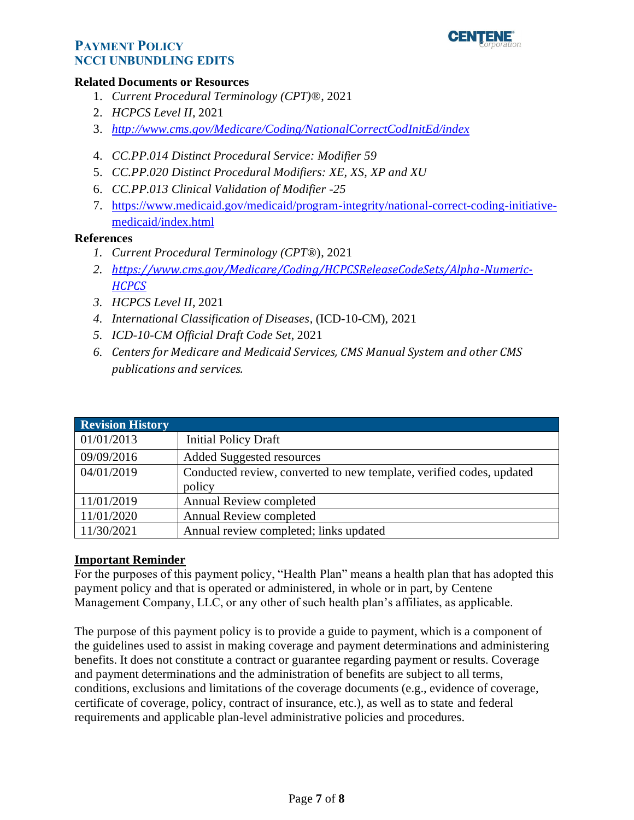

#### **Related Documents or Resources**

- 1. *Current Procedural Terminology (CPT)*®, 2021
- 2. *HCPCS Level II*, 2021
- 3. *http://www.cms.gov/Medicare/Coding/NationalCorrectCodInitEd/index*
- 4. *CC.PP.014 Distinct Procedural Service: Modifier 59*
- 5. *CC.PP.020 Distinct Procedural Modifiers: XE, XS, XP and XU*
- 6. *CC.PP.013 Clinical Validation of Modifier -25*
- 7. [https://www.medicaid.gov/medicaid/program-integrity/national-correct-coding-initiative](https://www.medicaid.gov/medicaid/program-integrity/national-correct-coding-initiative-medicaid/index.html)[medicaid/index.html](https://www.medicaid.gov/medicaid/program-integrity/national-correct-coding-initiative-medicaid/index.html)

### **References**

- *1. Current Procedural Terminology (CPT*®), 2021
- *2. [https://www.cms.gov/Medicare/Coding/HCPCSReleaseCodeSets/Alpha-Numeric-](https://www.cms.gov/Medicare/Coding/HCPCSReleaseCodeSets/Alpha-Numeric-HCPCS)[HCPCS](https://www.cms.gov/Medicare/Coding/HCPCSReleaseCodeSets/Alpha-Numeric-HCPCS)*
- *3. HCPCS Level II*, 2021
- *4. International Classification of Diseases*, (ICD-10-CM), 2021
- *5. ICD-10-CM Official Draft Code Set*, 2021
- *6. Centers for Medicare and Medicaid Services, CMS Manual System and other CMS publications and services.*

<span id="page-6-0"></span>

| <b>Revision History</b> |                                                                      |
|-------------------------|----------------------------------------------------------------------|
| 01/01/2013              | <b>Initial Policy Draft</b>                                          |
| 09/09/2016              | <b>Added Suggested resources</b>                                     |
| 04/01/2019              | Conducted review, converted to new template, verified codes, updated |
|                         | policy                                                               |
| 11/01/2019              | Annual Review completed                                              |
| 11/01/2020              | <b>Annual Review completed</b>                                       |
| 11/30/2021              | Annual review completed; links updated                               |

### <span id="page-6-1"></span>**Important Reminder**

For the purposes of this payment policy, "Health Plan" means a health plan that has adopted this payment policy and that is operated or administered, in whole or in part, by Centene Management Company, LLC, or any other of such health plan's affiliates, as applicable.

The purpose of this payment policy is to provide a guide to payment, which is a component of the guidelines used to assist in making coverage and payment determinations and administering benefits. It does not constitute a contract or guarantee regarding payment or results. Coverage and payment determinations and the administration of benefits are subject to all terms, conditions, exclusions and limitations of the coverage documents (e.g., evidence of coverage, certificate of coverage, policy, contract of insurance, etc.), as well as to state and federal requirements and applicable plan-level administrative policies and procedures.